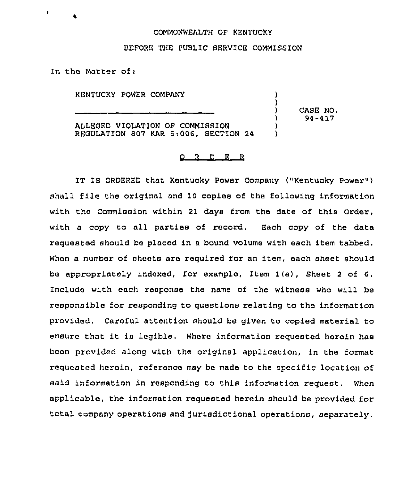## COMMONWEALTH OF KENTUCKY

## BEFORE THE PUBLIC SERVICE COMMISSION

In the Matter of:

KENTUCKY POWER COMPANY

ALLEGED VIOLATION OP COMMISSION REGULATION 807 KAR St006, SECTION 24 ) CASE NO. ) 94-417

) )

> ) )

## O R D E R

IT IS ORDERED that Kentucky Power Company ("Kentucky Power" ) shall file the original and 10 copies of the following information with the Commission within 21 days from the date of this Order, with a copy to all parties of record. Each copy of the data requested should be placed in a bound volume with each item tabbed. When a number of sheets are required for an item, each sheet should be appropriately indexed, for example, Item 1(a), Sheet <sup>2</sup> of 6. Include with each response the name of the witness who will be responsible for responding to questions relating to the information provided, Careful attention should be given to copied material to ensure that it is legible. Where information requested herein has been provided along with the original application, in the format requested herein, reference may be made to the specific location of said information in responding to this information request. When applicable, the information requested herein should be provided for total company operations and Jurisdictional operations, separately.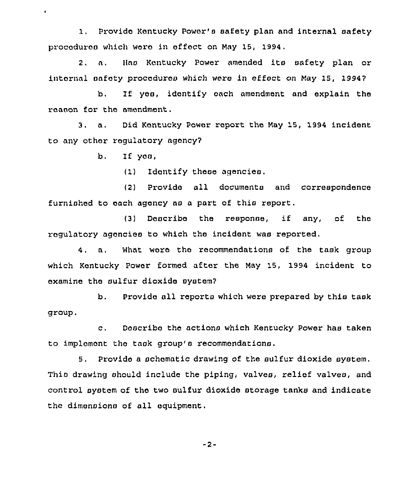1, Provide Kentucky Power's safety plan and internal safety procoduros which wore in effect on May 15, 1994.

2. a. Has Kentucky Power amended its safety plan or intarnal safety procedures which were in effect on May 15, 19947

b. If yoo, identify each amendment and explain the reason for tho amendment.

3. a, Did Kentucky Power report the May 15, 1994 incident to any other regulatory agency7

b, If yos,

 $\bullet$ 

(1) Identify these agencies.

(2) Provide all documents and correspondence furnished to each agency as a part of this report.

(3) Describe the response, if any, of the regulatory agencies to which the incident was reported,

4. a. What wore the recommendations of the task group which Kentucky Power formed after the May 15, 1994 incident to examine the sulfur dioxide system?

b. Provide all reports which were prepared by this task group.

c. Doscribo the actions which Kentucky Power has taken to implomont the task group's recommendations.

5. Provide a schematic drawing of the sulfur dioxide system, This drawing should include the piping, valves, relief valves, and control system of the two sulfur dioxide storage tanks and indicate the dimensions of all equipment.

-2-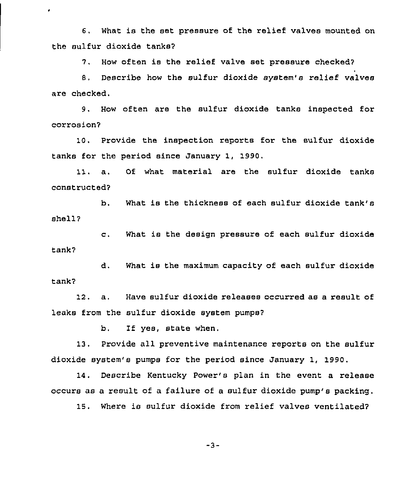6. What is the set pressure of the relief valves mounted on the sulfur dioxide tanks?

 $\bullet$ 

7. How often is the relief valve set pressure checked?

8, Describe how the sulfur dioxide system's relief valves are checked.

9. How often are the sulfur dioxide tanks inspected for corrosion'

10. Provide the inspection reports for the sulfur dioxide tanks for the period since January 1, 1990.

11. a. Of what material are the sulfur dioxide tanks constructed7

b. What is the thickness of each sulfur dioxide tank's shell7

c. What is the design pressure of each sulfur dioxide tank7

d. What is the maximum capacity of each sulfur dioxide tank?

12, a. Have sulfur dioxide releases occurred as a result of leaks from the sulfur dioxide system pumps?

b. If yes, state when.

13. Provide all preventive maintenance reports on the sulfur dioxide system's pumps for the period since January 1, 1990.

14. Describe Kentucky Power's plan in the event a release occurs as a result of a failure of a sulfur dioxide pump's packing.

15. Where is sulfur dioxide from relief valves ventilated?

-3-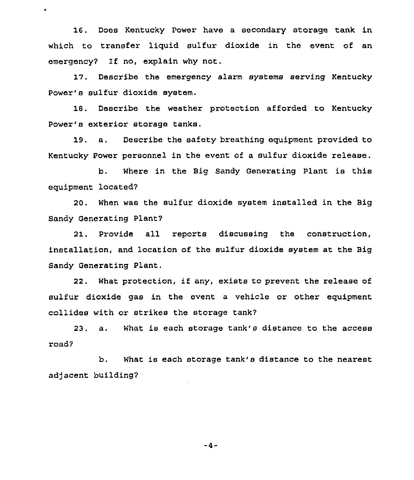16. Does Kentucky Power have a secondary storage tank in which to transfer liquid sulfur dioxide in the event of an emergency? If no, explain why not.

 $\bullet$ 

17. Describe the emergency alarm systems serving Kentucky Power's sulfur dioxide system.

18. Describe the weather protection afforded to Kentucky Power's exterior storage tanks.

19. a. Describe the safety breathing equipment provided to Kentucky Power personnel in the event of a sulfur dioxide release.

b. Where in the Big Sandy Generating Plant is this equipment located?

20. When was the sulfur dioxide system installed in the Big Sandy Generating Plant?

21. Provide all reports discussing the construction, installation, and location of the sulfur dioxide system at the Big Sandy Generating Plant,

22. What protection, if any, exists to prevent the release of sulfur dioxide gas in the event a vehicle or other equipment collides with or strikes the storage tank?

23. a. What is each storage tank's distance to the access road?

b. What is each storage tank's distance to the nearest adjacent building?

 $-4-$